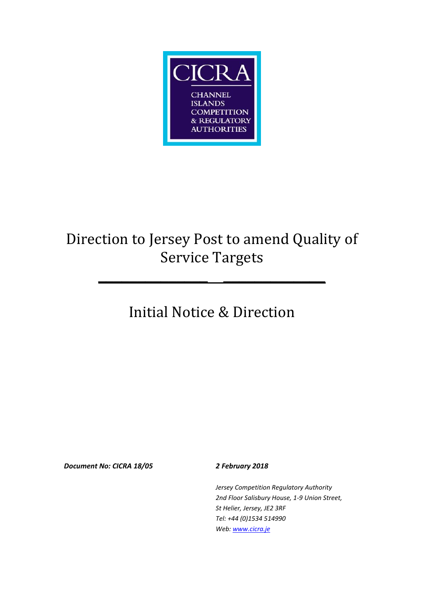

# Direction to Jersey Post to amend Quality of Service Targets

**\_\_\_\_\_\_\_\_\_\_\_\_\_\_ \_\_\_\_\_\_\_\_\_\_\_\_\_**

# Initial Notice & Direction

*Document No: CICRA 18/05 2 February 2018*

*Jersey Competition Regulatory Authority 2nd Floor Salisbury House, 1-9 Union Street, St Helier, Jersey, JE2 3RF Tel: +44 (0)1534 514990 Web: www.cicra.je*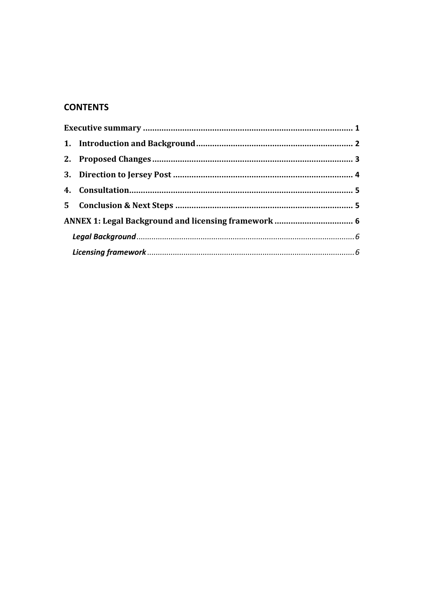## **CONTENTS**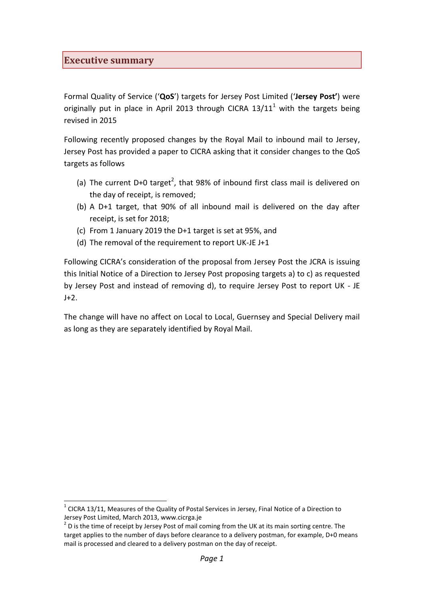#### <span id="page-2-0"></span>**Executive summary**

l

Formal Quality of Service ('**QoS**') targets for Jersey Post Limited ('**Jersey Post'**) were originally put in place in April 2013 through CICRA  $13/11<sup>1</sup>$  with the targets being revised in 2015

Following recently proposed changes by the Royal Mail to inbound mail to Jersey, Jersey Post has provided a paper to CICRA asking that it consider changes to the QoS targets as follows

- (a) The current D+0 target<sup>2</sup>, that 98% of inbound first class mail is delivered on the day of receipt, is removed;
- (b) A D+1 target, that 90% of all inbound mail is delivered on the day after receipt, is set for 2018;
- (c) From 1 January 2019 the D+1 target is set at 95%, and
- (d) The removal of the requirement to report UK-JE J+1

Following CICRA's consideration of the proposal from Jersey Post the JCRA is issuing this Initial Notice of a Direction to Jersey Post proposing targets a) to c) as requested by Jersey Post and instead of removing d), to require Jersey Post to report UK - JE  $J+2$ .

The change will have no affect on Local to Local, Guernsey and Special Delivery mail as long as they are separately identified by Royal Mail.

 $1$  CICRA 13/11, Measures of the Quality of Postal Services in Jersey, Final Notice of a Direction to Jersey Post Limited, March 2013, www.cicrga.je

 $2$  D is the time of receipt by Jersey Post of mail coming from the UK at its main sorting centre. The target applies to the number of days before clearance to a delivery postman, for example, D+0 means mail is processed and cleared to a delivery postman on the day of receipt.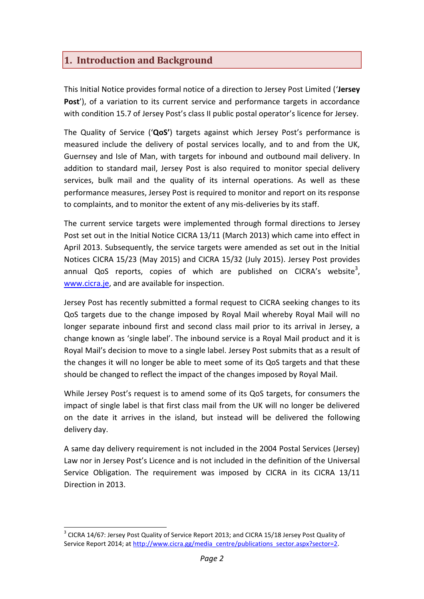### <span id="page-3-0"></span>**1. Introduction and Background**

This Initial Notice provides formal notice of a direction to Jersey Post Limited ('**Jersey** Post'), of a variation to its current service and performance targets in accordance with condition 15.7 of Jersey Post's class II public postal operator's licence for Jersey.

The Quality of Service ('**QoS'**) targets against which Jersey Post's performance is measured include the delivery of postal services locally, and to and from the UK, Guernsey and Isle of Man, with targets for inbound and outbound mail delivery. In addition to standard mail, Jersey Post is also required to monitor special delivery services, bulk mail and the quality of its internal operations. As well as these performance measures, Jersey Post is required to monitor and report on its response to complaints, and to monitor the extent of any mis-deliveries by its staff.

The current service targets were implemented through formal directions to Jersey Post set out in the Initial Notice CICRA 13/11 (March 2013) which came into effect in April 2013. Subsequently, the service targets were amended as set out in the Initial Notices CICRA 15/23 (May 2015) and CICRA 15/32 (July 2015). Jersey Post provides annual QoS reports, copies of which are published on CICRA's website<sup>3</sup>, [www.cicra.je,](http://www.cicra.je/) and are available for inspection.

Jersey Post has recently submitted a formal request to CICRA seeking changes to its QoS targets due to the change imposed by Royal Mail whereby Royal Mail will no longer separate inbound first and second class mail prior to its arrival in Jersey, a change known as 'single label'. The inbound service is a Royal Mail product and it is Royal Mail's decision to move to a single label. Jersey Post submits that as a result of the changes it will no longer be able to meet some of its QoS targets and that these should be changed to reflect the impact of the changes imposed by Royal Mail.

While Jersey Post's request is to amend some of its QoS targets, for consumers the impact of single label is that first class mail from the UK will no longer be delivered on the date it arrives in the island, but instead will be delivered the following delivery day.

A same day delivery requirement is not included in the 2004 Postal Services (Jersey) Law nor in Jersey Post's Licence and is not included in the definition of the Universal Service Obligation. The requirement was imposed by CICRA in its CICRA 13/11 Direction in 2013.

l

 $3$  CICRA 14/67: Jersey Post Quality of Service Report 2013; and CICRA 15/18 Jersey Post Quality of Service Report 2014; at [http://www.cicra.gg/media\\_centre/publications\\_sector.aspx?sector=2.](http://www.cicra.gg/media_centre/publications_sector.aspx?sector=2)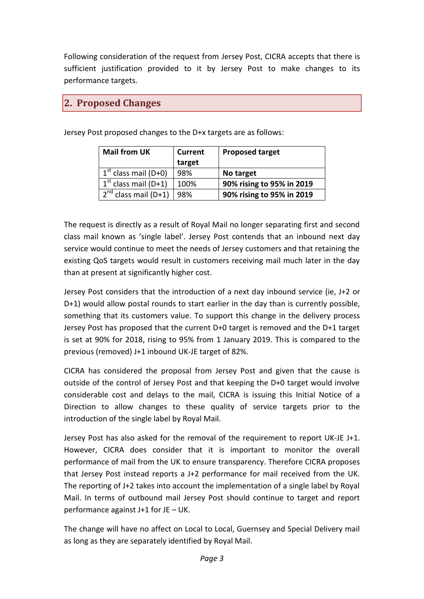Following consideration of the request from Jersey Post, CICRA accepts that there is sufficient justification provided to it by Jersey Post to make changes to its performance targets.

#### <span id="page-4-0"></span>**2. Proposed Changes**

Jersey Post proposed changes to the D+x targets are as follows:

| <b>Mail from UK</b>       | <b>Current</b> | <b>Proposed target</b>    |
|---------------------------|----------------|---------------------------|
|                           | target         |                           |
| $1st$ class mail (D+0)    | 98%            | No target                 |
| $1st$ class mail (D+1)    | 100%           | 90% rising to 95% in 2019 |
| $2^{nd}$ class mail (D+1) | 98%            | 90% rising to 95% in 2019 |

The request is directly as a result of Royal Mail no longer separating first and second class mail known as 'single label'. Jersey Post contends that an inbound next day service would continue to meet the needs of Jersey customers and that retaining the existing QoS targets would result in customers receiving mail much later in the day than at present at significantly higher cost.

Jersey Post considers that the introduction of a next day inbound service (ie, J+2 or D+1) would allow postal rounds to start earlier in the day than is currently possible, something that its customers value. To support this change in the delivery process Jersey Post has proposed that the current D+0 target is removed and the D+1 target is set at 90% for 2018, rising to 95% from 1 January 2019. This is compared to the previous (removed) J+1 inbound UK-JE target of 82%.

CICRA has considered the proposal from Jersey Post and given that the cause is outside of the control of Jersey Post and that keeping the D+0 target would involve considerable cost and delays to the mail, CICRA is issuing this Initial Notice of a Direction to allow changes to these quality of service targets prior to the introduction of the single label by Royal Mail.

Jersey Post has also asked for the removal of the requirement to report UK-JE J+1. However, CICRA does consider that it is important to monitor the overall performance of mail from the UK to ensure transparency. Therefore CICRA proposes that Jersey Post instead reports a J+2 performance for mail received from the UK. The reporting of J+2 takes into account the implementation of a single label by Royal Mail. In terms of outbound mail Jersey Post should continue to target and report performance against J+1 for JE – UK.

The change will have no affect on Local to Local, Guernsey and Special Delivery mail as long as they are separately identified by Royal Mail.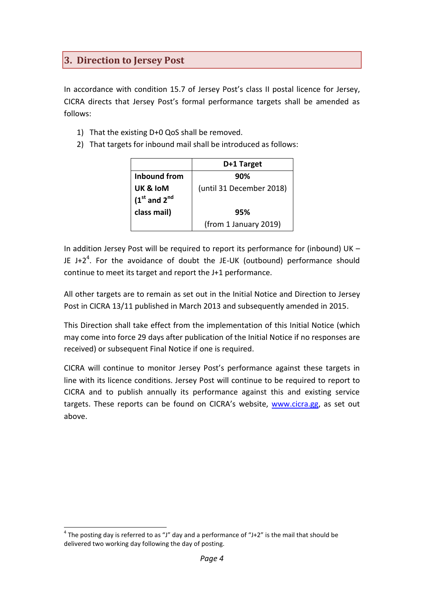## <span id="page-5-0"></span>**3. Direction to Jersey Post**

In accordance with condition 15.7 of Jersey Post's class II postal licence for Jersey, CICRA directs that Jersey Post's formal performance targets shall be amended as follows:

- 1) That the existing D+0 QoS shall be removed.
- 2) That targets for inbound mail shall be introduced as follows:

|                  | D+1 Target               |
|------------------|--------------------------|
| Inbound from     | 90%                      |
| UK & IoM         | (until 31 December 2018) |
| $(1st$ and $2nd$ |                          |
| class mail)      | 95%                      |
|                  | (from 1 January 2019)    |

In addition Jersey Post will be required to report its performance for (inbound) UK – JE J+2<sup>4</sup>. For the avoidance of doubt the JE-UK (outbound) performance should continue to meet its target and report the J+1 performance.

All other targets are to remain as set out in the Initial Notice and Direction to Jersey Post in CICRA 13/11 published in March 2013 and subsequently amended in 2015.

This Direction shall take effect from the implementation of this Initial Notice (which may come into force 29 days after publication of the Initial Notice if no responses are received) or subsequent Final Notice if one is required.

CICRA will continue to monitor Jersey Post's performance against these targets in line with its licence conditions. Jersey Post will continue to be required to report to CICRA and to publish annually its performance against this and existing service targets. These reports can be found on CICRA's website, [www.cicra.gg,](http://www.cicra.gg/) as set out above.

l <sup>4</sup> The posting day is referred to as "J" day and a performance of "J+2" is the mail that should be delivered two working day following the day of posting.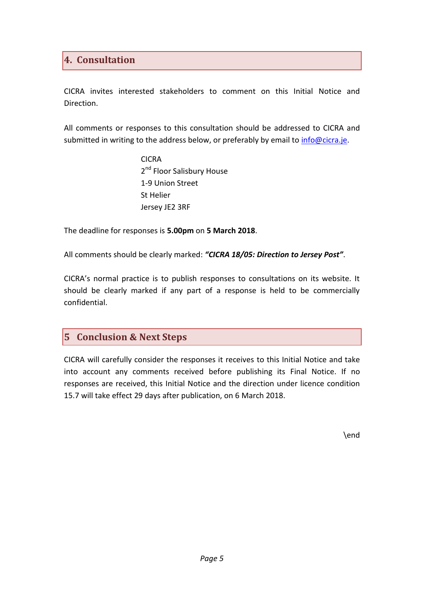### <span id="page-6-0"></span>**4. Consultation**

CICRA invites interested stakeholders to comment on this Initial Notice and Direction.

All comments or responses to this consultation should be addressed to CICRA and submitted in writing to the address below, or preferably by email to *info@cicra.je*.

> CICRA 2<sup>nd</sup> Floor Salisbury House 1-9 Union Street St Helier Jersey JE2 3RF

The deadline for responses is **5.00pm** on **5 March 2018**.

All comments should be clearly marked: *"CICRA 18/05: Direction to Jersey Post"*.

CICRA's normal practice is to publish responses to consultations on its website. It should be clearly marked if any part of a response is held to be commercially confidential.

#### <span id="page-6-1"></span>**5 Conclusion & Next Steps**

CICRA will carefully consider the responses it receives to this Initial Notice and take into account any comments received before publishing its Final Notice. If no responses are received, this Initial Notice and the direction under licence condition 15.7 will take effect 29 days after publication, on 6 March 2018.

\end